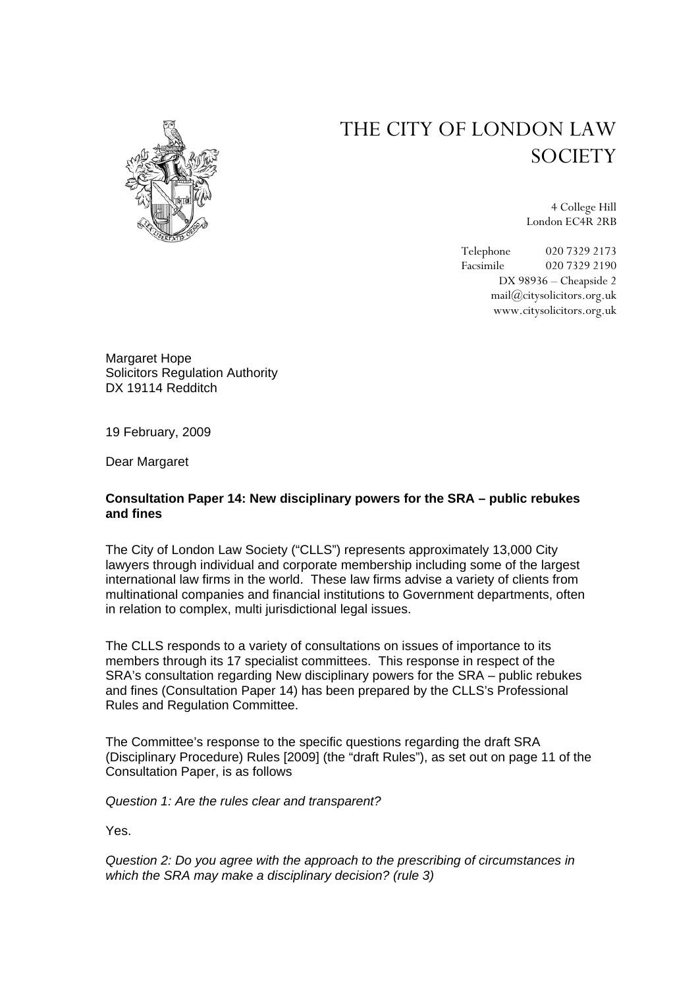## THE CITY OF LONDON LAW **SOCIETY**



4 College Hill London EC4R 2RB

Telephone 020 7329 2173 Facsimile 020 7329 2190 DX 98936 – Cheapside 2 mail@citysolicitors.org.uk www.citysolicitors.org.uk

Margaret Hope Solicitors Regulation Authority DX 19114 Redditch

19 February, 2009

Dear Margaret

## **Consultation Paper 14: New disciplinary powers for the SRA – public rebukes and fines**

The City of London Law Society ("CLLS") represents approximately 13,000 City lawyers through individual and corporate membership including some of the largest international law firms in the world. These law firms advise a variety of clients from multinational companies and financial institutions to Government departments, often in relation to complex, multi jurisdictional legal issues.

The CLLS responds to a variety of consultations on issues of importance to its members through its 17 specialist committees. This response in respect of the SRA's consultation regarding New disciplinary powers for the SRA – public rebukes and fines (Consultation Paper 14) has been prepared by the CLLS's Professional Rules and Regulation Committee.

The Committee's response to the specific questions regarding the draft SRA (Disciplinary Procedure) Rules [2009] (the "draft Rules"), as set out on page 11 of the Consultation Paper, is as follows

*Question 1: Are the rules clear and transparent?* 

Yes.

*Question 2: Do you agree with the approach to the prescribing of circumstances in which the SRA may make a disciplinary decision? (rule 3)*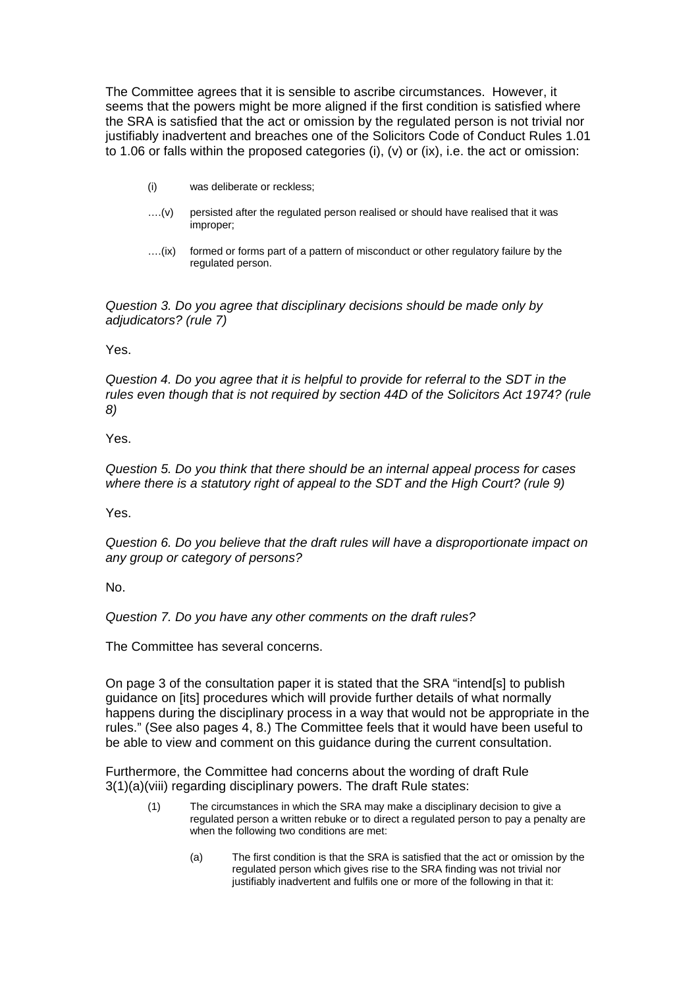The Committee agrees that it is sensible to ascribe circumstances. However, it seems that the powers might be more aligned if the first condition is satisfied where the SRA is satisfied that the act or omission by the regulated person is not trivial nor justifiably inadvertent and breaches one of the Solicitors Code of Conduct Rules 1.01 to 1.06 or falls within the proposed categories (i), (v) or (ix), i.e. the act or omission:

- (i) was deliberate or reckless;
- ….(v) persisted after the regulated person realised or should have realised that it was improper;
- ….(ix) formed or forms part of a pattern of misconduct or other regulatory failure by the regulated person.

*Question 3. Do you agree that disciplinary decisions should be made only by adjudicators? (rule 7)* 

Yes.

*Question 4. Do you agree that it is helpful to provide for referral to the SDT in the rules even though that is not required by section 44D of the Solicitors Act 1974? (rule 8)* 

Yes.

*Question 5. Do you think that there should be an internal appeal process for cases*  where there is a statutory right of appeal to the SDT and the High Court? (rule 9)

Yes.

*Question 6. Do you believe that the draft rules will have a disproportionate impact on any group or category of persons?* 

No.

*Question 7. Do you have any other comments on the draft rules?* 

The Committee has several concerns.

On page 3 of the consultation paper it is stated that the SRA "intend[s] to publish guidance on [its] procedures which will provide further details of what normally happens during the disciplinary process in a way that would not be appropriate in the rules." (See also pages 4, 8.) The Committee feels that it would have been useful to be able to view and comment on this guidance during the current consultation.

Furthermore, the Committee had concerns about the wording of draft Rule 3(1)(a)(viii) regarding disciplinary powers. The draft Rule states:

- (1) The circumstances in which the SRA may make a disciplinary decision to give a regulated person a written rebuke or to direct a regulated person to pay a penalty are when the following two conditions are met:
	- (a) The first condition is that the SRA is satisfied that the act or omission by the regulated person which gives rise to the SRA finding was not trivial nor justifiably inadvertent and fulfils one or more of the following in that it: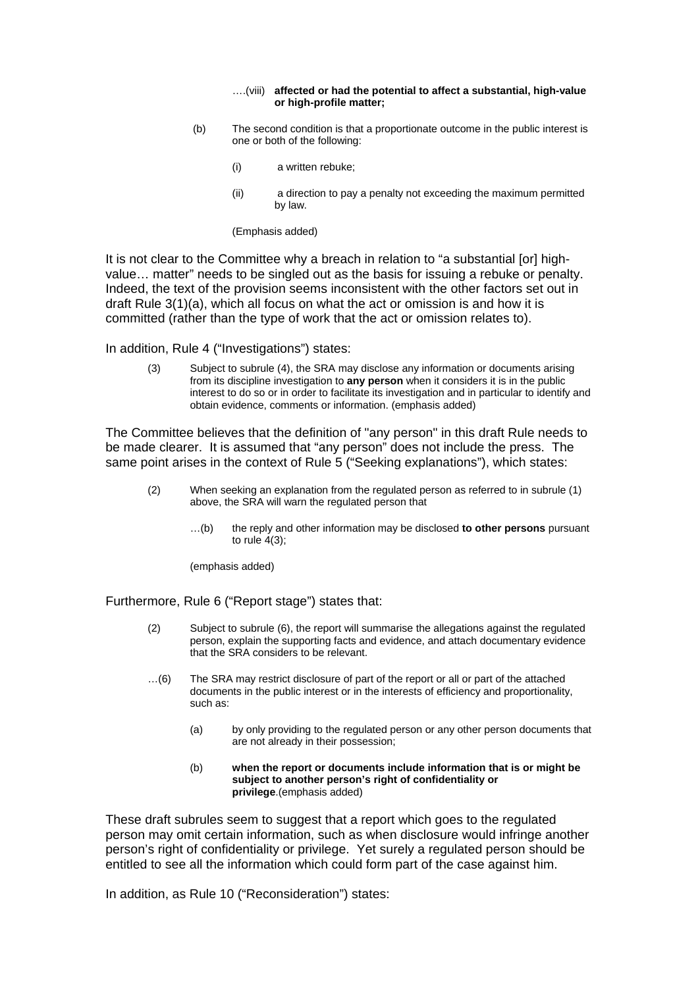## ….(viii) **affected or had the potential to affect a substantial, high-value or high-profile matter;**

- (b) The second condition is that a proportionate outcome in the public interest is one or both of the following:
	- (i) a written rebuke;
	- (ii) a direction to pay a penalty not exceeding the maximum permitted by law.

(Emphasis added)

It is not clear to the Committee why a breach in relation to "a substantial [or] highvalue… matter" needs to be singled out as the basis for issuing a rebuke or penalty. Indeed, the text of the provision seems inconsistent with the other factors set out in draft Rule 3(1)(a), which all focus on what the act or omission is and how it is committed (rather than the type of work that the act or omission relates to).

In addition, Rule 4 ("Investigations") states:

(3) Subject to subrule (4), the SRA may disclose any information or documents arising from its discipline investigation to **any person** when it considers it is in the public interest to do so or in order to facilitate its investigation and in particular to identify and obtain evidence, comments or information. (emphasis added)

The Committee believes that the definition of "any person" in this draft Rule needs to be made clearer. It is assumed that "any person" does not include the press. The same point arises in the context of Rule 5 ("Seeking explanations"), which states:

- (2) When seeking an explanation from the regulated person as referred to in subrule (1) above, the SRA will warn the regulated person that
	- …(b) the reply and other information may be disclosed **to other persons** pursuant to rule  $4(3)$ ;

(emphasis added)

Furthermore, Rule 6 ("Report stage") states that:

- (2) Subject to subrule (6), the report will summarise the allegations against the regulated person, explain the supporting facts and evidence, and attach documentary evidence that the SRA considers to be relevant.
- …(6) The SRA may restrict disclosure of part of the report or all or part of the attached documents in the public interest or in the interests of efficiency and proportionality, such as:
	- (a) by only providing to the regulated person or any other person documents that are not already in their possession;
	- (b) **when the report or documents include information that is or might be subject to another person's right of confidentiality or privilege**.(emphasis added)

These draft subrules seem to suggest that a report which goes to the regulated person may omit certain information, such as when disclosure would infringe another person's right of confidentiality or privilege. Yet surely a regulated person should be entitled to see all the information which could form part of the case against him.

In addition, as Rule 10 ("Reconsideration") states: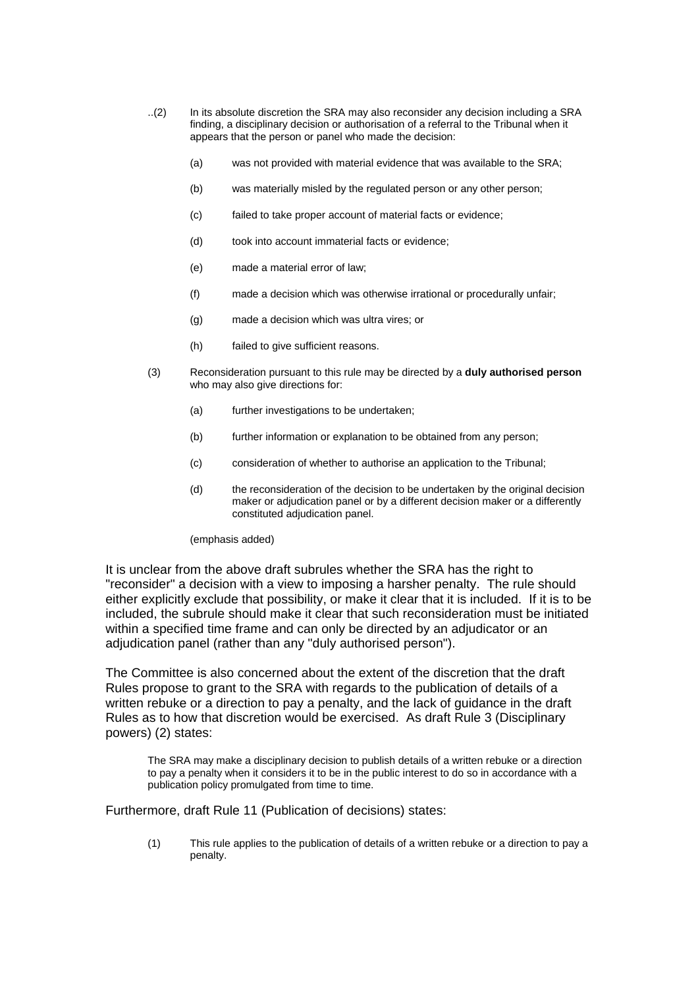- ..(2) In its absolute discretion the SRA may also reconsider any decision including a SRA finding, a disciplinary decision or authorisation of a referral to the Tribunal when it appears that the person or panel who made the decision:
	- (a) was not provided with material evidence that was available to the SRA;
	- (b) was materially misled by the regulated person or any other person;
	- (c) failed to take proper account of material facts or evidence;
	- (d) took into account immaterial facts or evidence;
	- (e) made a material error of law;
	- (f) made a decision which was otherwise irrational or procedurally unfair;
	- (g) made a decision which was ultra vires; or
	- (h) failed to give sufficient reasons.
- (3) Reconsideration pursuant to this rule may be directed by a **duly authorised person** who may also give directions for:
	- (a) further investigations to be undertaken;
	- (b) further information or explanation to be obtained from any person;
	- (c) consideration of whether to authorise an application to the Tribunal;
	- (d) the reconsideration of the decision to be undertaken by the original decision maker or adjudication panel or by a different decision maker or a differently constituted adjudication panel.

(emphasis added)

It is unclear from the above draft subrules whether the SRA has the right to "reconsider" a decision with a view to imposing a harsher penalty. The rule should either explicitly exclude that possibility, or make it clear that it is included. If it is to be included, the subrule should make it clear that such reconsideration must be initiated within a specified time frame and can only be directed by an adjudicator or an adjudication panel (rather than any "duly authorised person").

The Committee is also concerned about the extent of the discretion that the draft Rules propose to grant to the SRA with regards to the publication of details of a written rebuke or a direction to pay a penalty, and the lack of guidance in the draft Rules as to how that discretion would be exercised. As draft Rule 3 (Disciplinary powers) (2) states:

The SRA may make a disciplinary decision to publish details of a written rebuke or a direction to pay a penalty when it considers it to be in the public interest to do so in accordance with a publication policy promulgated from time to time.

Furthermore, draft Rule 11 (Publication of decisions) states:

(1) This rule applies to the publication of details of a written rebuke or a direction to pay a penalty.